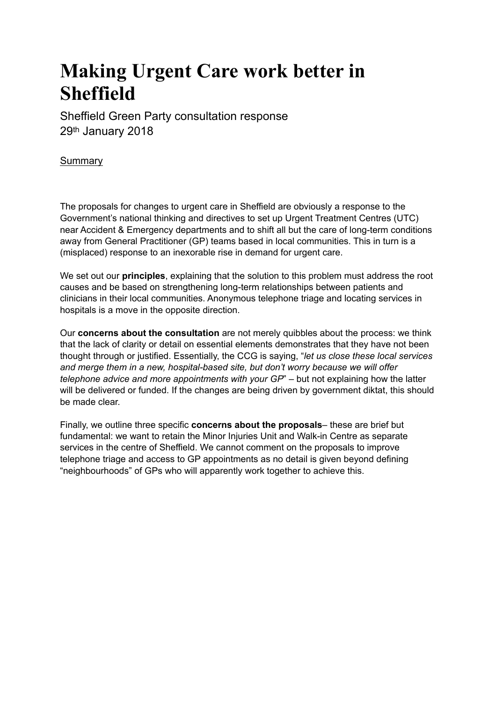# **Making Urgent Care work better in Sheffield**

Sheffield Green Party consultation response 29th January 2018

# Summary

The proposals for changes to urgent care in Sheffield are obviously a response to the Government's national thinking and directives to set up Urgent Treatment Centres (UTC) near Accident & Emergency departments and to shift all but the care of long-term conditions away from General Practitioner (GP) teams based in local communities. This in turn is a (misplaced) response to an inexorable rise in demand for urgent care.

We set out our **principles**, explaining that the solution to this problem must address the root causes and be based on strengthening long-term relationships between patients and clinicians in their local communities. Anonymous telephone triage and locating services in hospitals is a move in the opposite direction.

Our **concerns about the consultation** are not merely quibbles about the process: we think that the lack of clarity or detail on essential elements demonstrates that they have not been thought through or justified. Essentially, the CCG is saying, "*let us close these local services and merge them in a new, hospital-based site, but don't worry because we will offer telephone advice and more appointments with your GP*" – but not explaining how the latter will be delivered or funded. If the changes are being driven by government diktat, this should be made clear.

Finally, we outline three specific **concerns about the proposals**– these are brief but fundamental: we want to retain the Minor Injuries Unit and Walk-in Centre as separate services in the centre of Sheffield. We cannot comment on the proposals to improve telephone triage and access to GP appointments as no detail is given beyond defining "neighbourhoods" of GPs who will apparently work together to achieve this.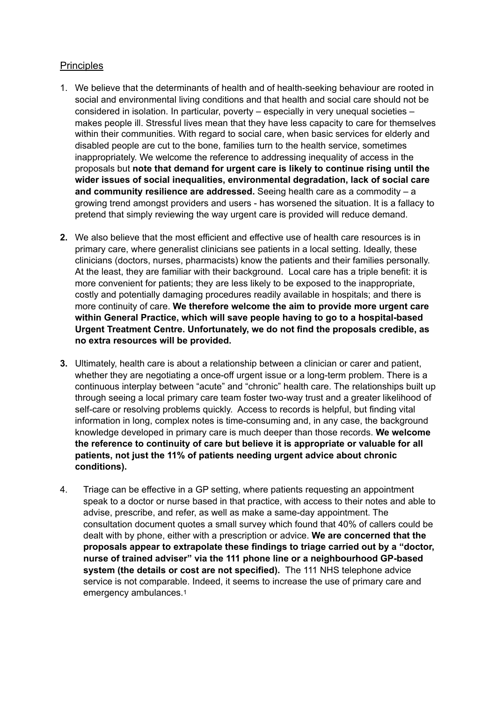# **Principles**

- 1. We believe that the determinants of health and of health-seeking behaviour are rooted in social and environmental living conditions and that health and social care should not be considered in isolation. In particular, poverty – especially in very unequal societies – makes people ill. Stressful lives mean that they have less capacity to care for themselves within their communities. With regard to social care, when basic services for elderly and disabled people are cut to the bone, families turn to the health service, sometimes inappropriately. We welcome the reference to addressing inequality of access in the proposals but **note that demand for urgent care is likely to continue rising until the wider issues of social inequalities, environmental degradation, lack of social care and community resilience are addressed.** Seeing health care as a commodity – a growing trend amongst providers and users - has worsened the situation. It is a fallacy to pretend that simply reviewing the way urgent care is provided will reduce demand.
- **2.** We also believe that the most efficient and effective use of health care resources is in primary care, where generalist clinicians see patients in a local setting. Ideally, these clinicians (doctors, nurses, pharmacists) know the patients and their families personally. At the least, they are familiar with their background. Local care has a triple benefit: it is more convenient for patients; they are less likely to be exposed to the inappropriate, costly and potentially damaging procedures readily available in hospitals; and there is more continuity of care. **We therefore welcome the aim to provide more urgent care within General Practice, which will save people having to go to a hospital-based Urgent Treatment Centre. Unfortunately, we do not find the proposals credible, as no extra resources will be provided.**
- **3.** Ultimately, health care is about a relationship between a clinician or carer and patient, whether they are negotiating a once-off urgent issue or a long-term problem. There is a continuous interplay between "acute" and "chronic" health care. The relationships built up through seeing a local primary care team foster two-way trust and a greater likelihood of self-care or resolving problems quickly. Access to records is helpful, but finding vital information in long, complex notes is time-consuming and, in any case, the background knowledge developed in primary care is much deeper than those records. **We welcome the reference to continuity of care but believe it is appropriate or valuable for all patients, not just the 11% of patients needing urgent advice about chronic conditions).**
- <span id="page-1-0"></span>4. Triage can be effective in a GP setting, where patients requesting an appointment speak to a doctor or nurse based in that practice, with access to their notes and able to advise, prescribe, and refer, as well as make a same-day appointment. The consultation document quotes a small survey which found that 40% of callers could be dealt with by phone, either with a prescription or advice. **We are concerned that the proposals appear to extrapolate these findings to triage carried out by a "doctor, nurse of trained adviser" via the 111 phone line or a neighbourhood GP-based system (the details or cost are not specified).** The 111 NHS telephone advice service is not comparable. Indeed, it seems to increase the use of primary care and emergency ambulances.[1](#page-3-0)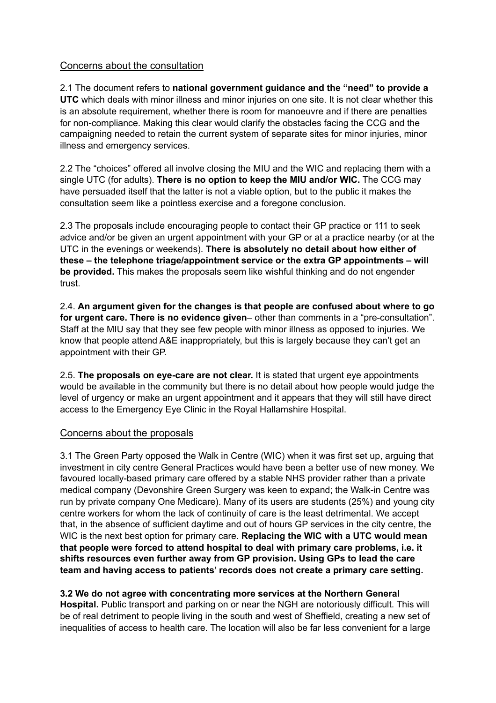# Concerns about the consultation

2.1 The document refers to **national government guidance and the "need" to provide a UTC** which deals with minor illness and minor injuries on one site. It is not clear whether this is an absolute requirement, whether there is room for manoeuvre and if there are penalties for non-compliance. Making this clear would clarify the obstacles facing the CCG and the campaigning needed to retain the current system of separate sites for minor injuries, minor illness and emergency services.

2.2 The "choices" offered all involve closing the MIU and the WIC and replacing them with a single UTC (for adults). **There is no option to keep the MIU and/or WIC.** The CCG may have persuaded itself that the latter is not a viable option, but to the public it makes the consultation seem like a pointless exercise and a foregone conclusion.

2.3 The proposals include encouraging people to contact their GP practice or 111 to seek advice and/or be given an urgent appointment with your GP or at a practice nearby (or at the UTC in the evenings or weekends). **There is absolutely no detail about how either of these – the telephone triage/appointment service or the extra GP appointments – will be provided.** This makes the proposals seem like wishful thinking and do not engender trust.

2.4. **An argument given for the changes is that people are confused about where to go for urgent care. There is no evidence given**– other than comments in a "pre-consultation". Staff at the MIU say that they see few people with minor illness as opposed to injuries. We know that people attend A&E inappropriately, but this is largely because they can't get an appointment with their GP.

2.5. **The proposals on eye-care are not clear.** It is stated that urgent eye appointments would be available in the community but there is no detail about how people would judge the level of urgency or make an urgent appointment and it appears that they will still have direct access to the Emergency Eye Clinic in the Royal Hallamshire Hospital.

#### Concerns about the proposals

3.1 The Green Party opposed the Walk in Centre (WIC) when it was first set up, arguing that investment in city centre General Practices would have been a better use of new money. We favoured locally-based primary care offered by a stable NHS provider rather than a private medical company (Devonshire Green Surgery was keen to expand; the Walk-in Centre was run by private company One Medicare). Many of its users are students (25%) and young city centre workers for whom the lack of continuity of care is the least detrimental. We accept that, in the absence of sufficient daytime and out of hours GP services in the city centre, the WIC is the next best option for primary care. **Replacing the WIC with a UTC would mean that people were forced to attend hospital to deal with primary care problems, i.e. it shifts resources even further away from GP provision. Using GPs to lead the care team and having access to patients' records does not create a primary care setting.** 

# **3.2 We do not agree with concentrating more services at the Northern General**

**Hospital.** Public transport and parking on or near the NGH are notoriously difficult. This will be of real detriment to people living in the south and west of Sheffield, creating a new set of inequalities of access to health care. The location will also be far less convenient for a large